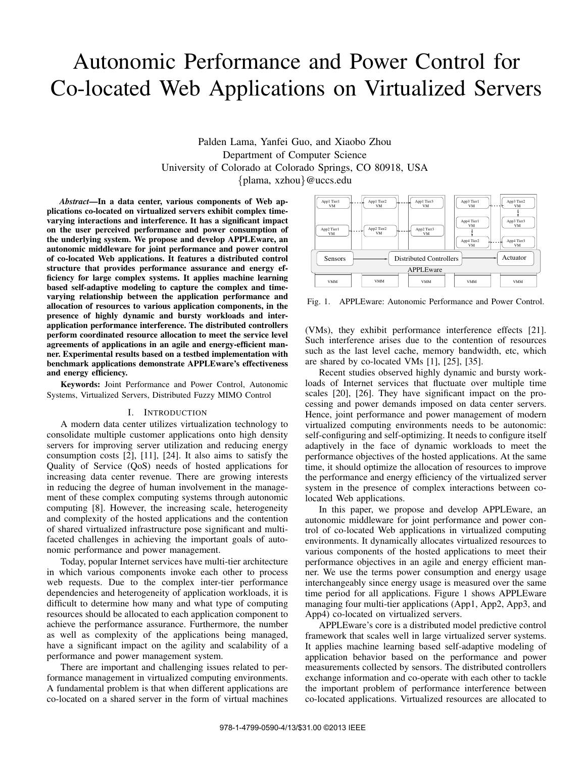# Autonomic Performance and Power Control for Co-located Web Applications on Virtualized Servers

# Palden Lama, Yanfei Guo, and Xiaobo Zhou Department of Computer Science University of Colorado at Colorado Springs, CO 80918, USA {plama, xzhou}@uccs.edu

*Abstract*—In a data center, various components of Web applications co-located on virtualized servers exhibit complex timevarying interactions and interference. It has a significant impact on the user perceived performance and power consumption of the underlying system. We propose and develop APPLEware, an autonomic middleware for joint performance and power control of co-located Web applications. It features a distributed control structure that provides performance assurance and energy efficiency for large complex systems. It applies machine learning based self-adaptive modeling to capture the complex and timevarying relationship between the application performance and allocation of resources to various application components, in the presence of highly dynamic and bursty workloads and interapplication performance interference. The distributed controllers perform coordinated resource allocation to meet the service level agreements of applications in an agile and energy-efficient manner. Experimental results based on a testbed implementation with benchmark applications demonstrate APPLEware's effectiveness and energy efficiency.

Keywords: Joint Performance and Power Control, Autonomic Systems, Virtualized Servers, Distributed Fuzzy MIMO Control

# I. INTRODUCTION

A modern data center utilizes virtualization technology to consolidate multiple customer applications onto high density servers for improving server utilization and reducing energy consumption costs [2], [11], [24]. It also aims to satisfy the Quality of Service (QoS) needs of hosted applications for increasing data center revenue. There are growing interests in reducing the degree of human involvement in the management of these complex computing systems through autonomic computing [8]. However, the increasing scale, heterogeneity and complexity of the hosted applications and the contention of shared virtualized infrastructure pose significant and multifaceted challenges in achieving the important goals of autonomic performance and power management.

Today, popular Internet services have multi-tier architecture in which various components invoke each other to process web requests. Due to the complex inter-tier performance dependencies and heterogeneity of application workloads, it is difficult to determine how many and what type of computing resources should be allocated to each application component to achieve the performance assurance. Furthermore, the number as well as complexity of the applications being managed, have a significant impact on the agility and scalability of a performance and power management system.

There are important and challenging issues related to performance management in virtualized computing environments. A fundamental problem is that when different applications are co-located on a shared server in the form of virtual machines



Fig. 1. APPLEware: Autonomic Performance and Power Control.

(VMs), they exhibit performance interference effects [21]. Such interference arises due to the contention of resources such as the last level cache, memory bandwidth, etc, which are shared by co-located VMs [1], [25], [35].

Recent studies observed highly dynamic and bursty workloads of Internet services that fluctuate over multiple time scales [20], [26]. They have significant impact on the processing and power demands imposed on data center servers. Hence, joint performance and power management of modern virtualized computing environments needs to be autonomic: self-configuring and self-optimizing. It needs to configure itself adaptively in the face of dynamic workloads to meet the performance objectives of the hosted applications. At the same time, it should optimize the allocation of resources to improve the performance and energy efficiency of the virtualized server system in the presence of complex interactions between colocated Web applications.

In this paper, we propose and develop APPLEware, an autonomic middleware for joint performance and power control of co-located Web applications in virtualized computing environments. It dynamically allocates virtualized resources to various components of the hosted applications to meet their performance objectives in an agile and energy efficient manner. We use the terms power consumption and energy usage interchangeably since energy usage is measured over the same time period for all applications. Figure 1 shows APPLEware managing four multi-tier applications (App1, App2, App3, and App4) co-located on virtualized servers.

APPLEware's core is a distributed model predictive control framework that scales well in large virtualized server systems. It applies machine learning based self-adaptive modeling of application behavior based on the performance and power measurements collected by sensors. The distributed controllers exchange information and co-operate with each other to tackle the important problem of performance interference between co-located applications. Virtualized resources are allocated to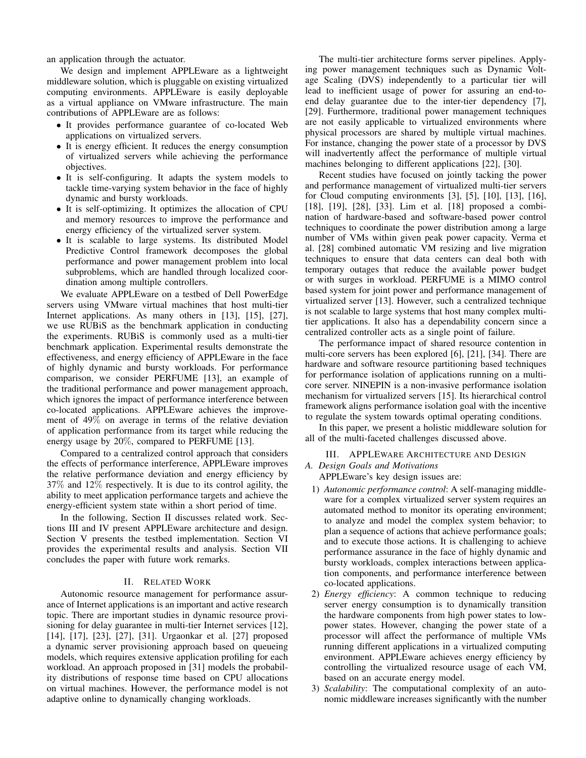an application through the actuator.

We design and implement APPLEware as a lightweight middleware solution, which is pluggable on existing virtualized computing environments. APPLEware is easily deployable as a virtual appliance on VMware infrastructure. The main contributions of APPLEware are as follows:

- It provides performance guarantee of co-located Web applications on virtualized servers.
- It is energy efficient. It reduces the energy consumption of virtualized servers while achieving the performance objectives.
- It is self-configuring. It adapts the system models to tackle time-varying system behavior in the face of highly dynamic and bursty workloads.
- It is self-optimizing. It optimizes the allocation of CPU and memory resources to improve the performance and energy efficiency of the virtualized server system.
- It is scalable to large systems. Its distributed Model Predictive Control framework decomposes the global performance and power management problem into local subproblems, which are handled through localized coordination among multiple controllers.

We evaluate APPLEware on a testbed of Dell PowerEdge servers using VMware virtual machines that host multi-tier Internet applications. As many others in [13], [15], [27], we use RUBiS as the benchmark application in conducting the experiments. RUBiS is commonly used as a multi-tier benchmark application. Experimental results demonstrate the effectiveness, and energy efficiency of APPLEware in the face of highly dynamic and bursty workloads. For performance comparison, we consider PERFUME [13], an example of the traditional performance and power management approach, which ignores the impact of performance interference between co-located applications. APPLEware achieves the improvement of 49% on average in terms of the relative deviation of application performance from its target while reducing the energy usage by 20%, compared to PERFUME [13].

Compared to a centralized control approach that considers the effects of performance interference, APPLEware improves the relative performance deviation and energy efficiency by 37% and 12% respectively. It is due to its control agility, the ability to meet application performance targets and achieve the energy-efficient system state within a short period of time.

In the following, Section II discusses related work. Sections III and IV present APPLEware architecture and design. Section V presents the testbed implementation. Section VI provides the experimental results and analysis. Section VII concludes the paper with future work remarks.

# II. RELATED WORK

Autonomic resource management for performance assurance of Internet applications is an important and active research topic. There are important studies in dynamic resource provisioning for delay guarantee in multi-tier Internet services [12], [14], [17], [23], [27], [31]. Urgaonkar et al. [27] proposed a dynamic server provisioning approach based on queueing models, which requires extensive application profiling for each workload. An approach proposed in [31] models the probability distributions of response time based on CPU allocations on virtual machines. However, the performance model is not adaptive online to dynamically changing workloads.

The multi-tier architecture forms server pipelines. Applying power management techniques such as Dynamic Voltage Scaling (DVS) independently to a particular tier will lead to inefficient usage of power for assuring an end-toend delay guarantee due to the inter-tier dependency [7], [29]. Furthermore, traditional power management techniques are not easily applicable to virtualized environments where physical processors are shared by multiple virtual machines. For instance, changing the power state of a processor by DVS will inadvertently affect the performance of multiple virtual machines belonging to different applications [22], [30].

Recent studies have focused on jointly tacking the power and performance management of virtualized multi-tier servers for Cloud computing environments [3], [5], [10], [13], [16], [18], [19], [28], [33]. Lim et al. [18] proposed a combination of hardware-based and software-based power control techniques to coordinate the power distribution among a large number of VMs within given peak power capacity. Verma et al. [28] combined automatic VM resizing and live migration techniques to ensure that data centers can deal both with temporary outages that reduce the available power budget or with surges in workload. PERFUME is a MIMO control based system for joint power and performance management of virtualized server [13]. However, such a centralized technique is not scalable to large systems that host many complex multitier applications. It also has a dependability concern since a centralized controller acts as a single point of failure.

The performance impact of shared resource contention in multi-core servers has been explored [6], [21], [34]. There are hardware and software resource partitioning based techniques for performance isolation of applications running on a multicore server. NINEPIN is a non-invasive performance isolation mechanism for virtualized servers [15]. Its hierarchical control framework aligns performance isolation goal with the incentive to regulate the system towards optimal operating conditions.

In this paper, we present a holistic middleware solution for all of the multi-faceted challenges discussed above.

# III. APPLEWARE ARCHITECTURE AND DESIGN

*A. Design Goals and Motivations*

APPLEware's key design issues are:

- 1) *Autonomic performance control*: A self-managing middleware for a complex virtualized server system requires an automated method to monitor its operating environment; to analyze and model the complex system behavior; to plan a sequence of actions that achieve performance goals; and to execute those actions. It is challenging to achieve performance assurance in the face of highly dynamic and bursty workloads, complex interactions between application components, and performance interference between co-located applications.
- 2) *Energy efficiency*: A common technique to reducing server energy consumption is to dynamically transition the hardware components from high power states to lowpower states. However, changing the power state of a processor will affect the performance of multiple VMs running different applications in a virtualized computing environment. APPLEware achieves energy efficiency by controlling the virtualized resource usage of each VM, based on an accurate energy model.
- 3) *Scalability*: The computational complexity of an autonomic middleware increases significantly with the number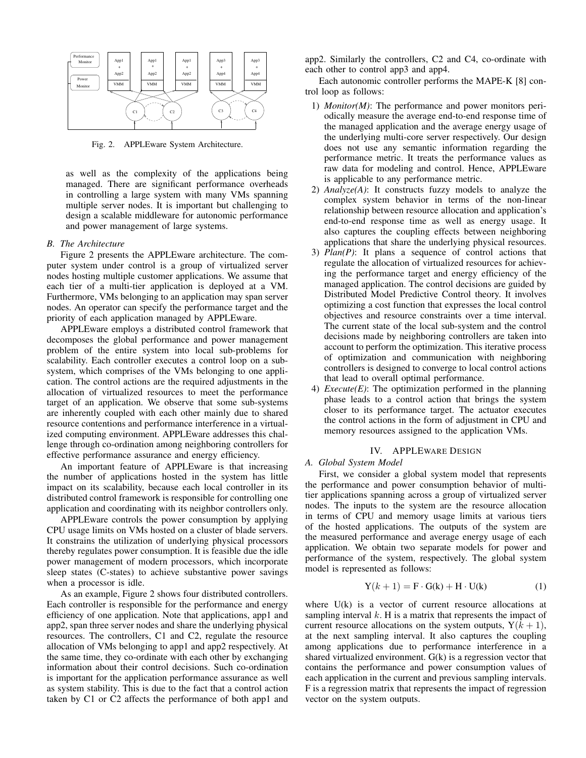

Fig. 2. APPLEware System Architecture.

as well as the complexity of the applications being managed. There are significant performance overheads in controlling a large system with many VMs spanning multiple server nodes. It is important but challenging to design a scalable middleware for autonomic performance and power management of large systems.

#### *B. The Architecture*

Figure 2 presents the APPLEware architecture. The computer system under control is a group of virtualized server nodes hosting multiple customer applications. We assume that each tier of a multi-tier application is deployed at a VM. Furthermore, VMs belonging to an application may span server nodes. An operator can specify the performance target and the priority of each application managed by APPLEware.

APPLEware employs a distributed control framework that decomposes the global performance and power management problem of the entire system into local sub-problems for scalability. Each controller executes a control loop on a subsystem, which comprises of the VMs belonging to one application. The control actions are the required adjustments in the allocation of virtualized resources to meet the performance target of an application. We observe that some sub-systems are inherently coupled with each other mainly due to shared resource contentions and performance interference in a virtualized computing environment. APPLEware addresses this challenge through co-ordination among neighboring controllers for effective performance assurance and energy efficiency.

An important feature of APPLEware is that increasing the number of applications hosted in the system has little impact on its scalability, because each local controller in its distributed control framework is responsible for controlling one application and coordinating with its neighbor controllers only.

APPLEware controls the power consumption by applying CPU usage limits on VMs hosted on a cluster of blade servers. It constrains the utilization of underlying physical processors thereby regulates power consumption. It is feasible due the idle power management of modern processors, which incorporate sleep states (C-states) to achieve substantive power savings when a processor is idle.

As an example, Figure 2 shows four distributed controllers. Each controller is responsible for the performance and energy efficiency of one application. Note that applications, app1 and app2, span three server nodes and share the underlying physical resources. The controllers, C1 and C2, regulate the resource allocation of VMs belonging to app1 and app2 respectively. At the same time, they co-ordinate with each other by exchanging information about their control decisions. Such co-ordination is important for the application performance assurance as well as system stability. This is due to the fact that a control action taken by C1 or C2 affects the performance of both app1 and app2. Similarly the controllers, C2 and C4, co-ordinate with each other to control app3 and app4.

Each autonomic controller performs the MAPE-K [8] control loop as follows:

- 1) *Monitor(M)*: The performance and power monitors periodically measure the average end-to-end response time of the managed application and the average energy usage of the underlying multi-core server respectively. Our design does not use any semantic information regarding the performance metric. It treats the performance values as raw data for modeling and control. Hence, APPLEware is applicable to any performance metric.
- 2) *Analyze(A)*: It constructs fuzzy models to analyze the complex system behavior in terms of the non-linear relationship between resource allocation and application's end-to-end response time as well as energy usage. It also captures the coupling effects between neighboring applications that share the underlying physical resources.
- 3) *Plan(P)*: It plans a sequence of control actions that regulate the allocation of virtualized resources for achieving the performance target and energy efficiency of the managed application. The control decisions are guided by Distributed Model Predictive Control theory. It involves optimizing a cost function that expresses the local control objectives and resource constraints over a time interval. The current state of the local sub-system and the control decisions made by neighboring controllers are taken into account to perform the optimization. This iterative process of optimization and communication with neighboring controllers is designed to converge to local control actions that lead to overall optimal performance.
- 4) *Execute(E)*: The optimization performed in the planning phase leads to a control action that brings the system closer to its performance target. The actuator executes the control actions in the form of adjustment in CPU and memory resources assigned to the application VMs.

# IV. APPLEWARE DESIGN

# *A. Global System Model*

First, we consider a global system model that represents the performance and power consumption behavior of multitier applications spanning across a group of virtualized server nodes. The inputs to the system are the resource allocation in terms of CPU and memory usage limits at various tiers of the hosted applications. The outputs of the system are the measured performance and average energy usage of each application. We obtain two separate models for power and performance of the system, respectively. The global system model is represented as follows:

$$
Y(k+1) = F \cdot G(k) + H \cdot U(k)
$$
 (1)

where  $U(k)$  is a vector of current resource allocations at sampling interval  $k$ . H is a matrix that represents the impact of current resource allocations on the system outputs,  $Y(k + 1)$ , at the next sampling interval. It also captures the coupling among applications due to performance interference in a shared virtualized environment. G(k) is a regression vector that contains the performance and power consumption values of each application in the current and previous sampling intervals. F is a regression matrix that represents the impact of regression vector on the system outputs.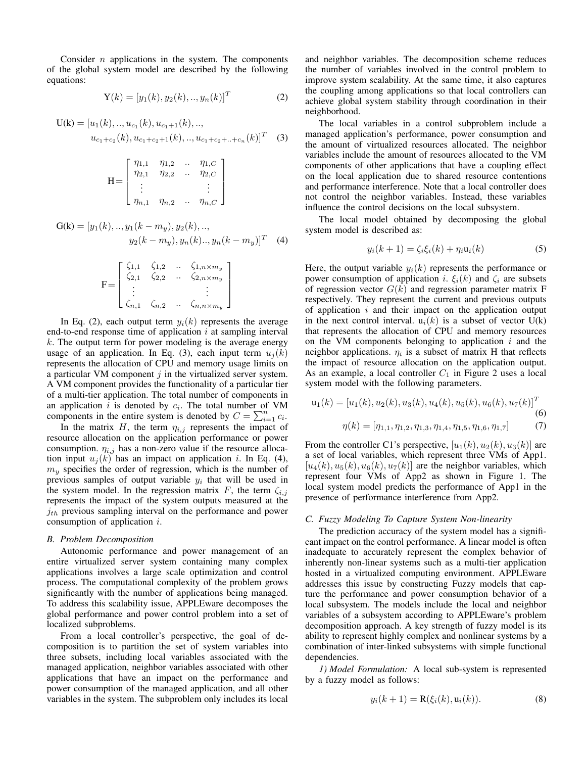Consider  $n$  applications in the system. The components of the global system model are described by the following equations:

$$
Y(k) = [y_1(k), y_2(k), ..., y_n(k)]^T
$$
 (2)

$$
U(k) = [u_1(k), ..., u_{c_1}(k), u_{c_1+1}(k), ...,
$$
  
\n
$$
u_{c_1+c_2}(k), u_{c_1+c_2+1}(k), ..., u_{c_1+c_2+...+c_n}(k)]^T
$$
 (3)

$$
\mathbf{H} = \begin{bmatrix} \eta_{1,1} & \eta_{1,2} & \dots & \eta_{1,C} \\ \eta_{2,1} & \eta_{2,2} & \dots & \eta_{2,C} \\ \vdots & & & \vdots \\ \eta_{n,1} & \eta_{n,2} & \dots & \eta_{n,C} \end{bmatrix}
$$

$$
G(k) = [y_1(k), ..., y_1(k - m_y), y_2(k), ..., \n y_2(k - m_y), y_n(k) ..., y_n(k - m_y)]^T
$$
 (4)

$$
\mathbf{F} = \begin{bmatrix} \zeta_{1,1} & \zeta_{1,2} & \cdots & \zeta_{1,n \times m_y} \\ \zeta_{2,1} & \zeta_{2,2} & \cdots & \zeta_{2,n \times m_y} \\ \vdots & & & \vdots \\ \zeta_{n,1} & \zeta_{n,2} & \cdots & \zeta_{n,n \times m_y} \end{bmatrix}
$$

In Eq. (2), each output term  $y_i(k)$  represents the average end-to-end response time of application  $i$  at sampling interval  $k$ . The output term for power modeling is the average energy usage of an application. In Eq. (3), each input term  $u_i(k)$ represents the allocation of CPU and memory usage limits on a particular VM component  $j$  in the virtualized server system. A VM component provides the functionality of a particular tier of a multi-tier application. The total number of components in an application  $i$  is denoted by  $c_i$ . The total number of VM components in the entire system is denoted by  $C = \sum_{i=1}^{n} c_i$ .

In the matrix H, the term  $\eta_{i,j}$  represents the impact of resource allocation on the application performance or power consumption.  $\eta_{i,j}$  has a non-zero value if the resource allocation input  $u_i(k)$  has an impact on application i. In Eq. (4),  $m<sub>y</sub>$  specifies the order of regression, which is the number of previous samples of output variable  $y_i$  that will be used in the system model. In the regression matrix F, the term  $\zeta_{i,j}$ represents the impact of the system outputs measured at the  $j_{th}$  previous sampling interval on the performance and power consumption of application  $i$ .

#### *B. Problem Decomposition*

Autonomic performance and power management of an entire virtualized server system containing many complex applications involves a large scale optimization and control process. The computational complexity of the problem grows significantly with the number of applications being managed. To address this scalability issue, APPLEware decomposes the global performance and power control problem into a set of localized subproblems.

From a local controller's perspective, the goal of decomposition is to partition the set of system variables into three subsets, including local variables associated with the managed application, neighbor variables associated with other applications that have an impact on the performance and power consumption of the managed application, and all other variables in the system. The subproblem only includes its local

and neighbor variables. The decomposition scheme reduces the number of variables involved in the control problem to improve system scalability. At the same time, it also captures the coupling among applications so that local controllers can achieve global system stability through coordination in their neighborhood.

The local variables in a control subproblem include a managed application's performance, power consumption and the amount of virtualized resources allocated. The neighbor variables include the amount of resources allocated to the VM components of other applications that have a coupling effect on the local application due to shared resource contentions and performance interference. Note that a local controller does not control the neighbor variables. Instead, these variables influence the control decisions on the local subsystem.

The local model obtained by decomposing the global system model is described as:

$$
y_i(k+1) = \zeta_i \xi_i(k) + \eta_i \mathbf{u}_i(k) \tag{5}
$$

Here, the output variable  $y_i(k)$  represents the performance or power consumption of application i.  $\xi_i(k)$  and  $\zeta_i$  are subsets of regression vector  $G(k)$  and regression parameter matrix F respectively. They represent the current and previous outputs of application  $i$  and their impact on the application output in the next control interval.  $u_i(k)$  is a subset of vector  $U(k)$ that represents the allocation of CPU and memory resources on the VM components belonging to application  $i$  and the neighbor applications.  $\eta_i$  is a subset of matrix H that reflects the impact of resource allocation on the application output. As an example, a local controller  $C_1$  in Figure 2 uses a local system model with the following parameters.

$$
\mathbf{u}_1(k) = [u_1(k), u_2(k), u_3(k), u_4(k), u_5(k), u_6(k), u_7(k)]^T
$$
  
(6)  

$$
\eta(k) = [\eta_{1,1}, \eta_{1,2}, \eta_{1,3}, \eta_{1,4}, \eta_{1,5}, \eta_{1,6}, \eta_{1,7}]
$$
 (7)

From the controller C1's perspective,  $[u_1(k), u_2(k), u_3(k)]$  are a set of local variables, which represent three VMs of App1.  $[u_4(k), u_5(k), u_6(k), u_7(k)]$  are the neighbor variables, which represent four VMs of App2 as shown in Figure 1. The local system model predicts the performance of App1 in the presence of performance interference from App2.

#### *C. Fuzzy Modeling To Capture System Non-linearity*

The prediction accuracy of the system model has a significant impact on the control performance. A linear model is often inadequate to accurately represent the complex behavior of inherently non-linear systems such as a multi-tier application hosted in a virtualized computing environment. APPLEware addresses this issue by constructing Fuzzy models that capture the performance and power consumption behavior of a local subsystem. The models include the local and neighbor variables of a subsystem according to APPLEware's problem decomposition approach. A key strength of fuzzy model is its ability to represent highly complex and nonlinear systems by a combination of inter-linked subsystems with simple functional dependencies.

*1) Model Formulation:* A local sub-system is represented by a fuzzy model as follows:

$$
y_i(k+1) = R(\xi_i(k), u_i(k)).
$$
 (8)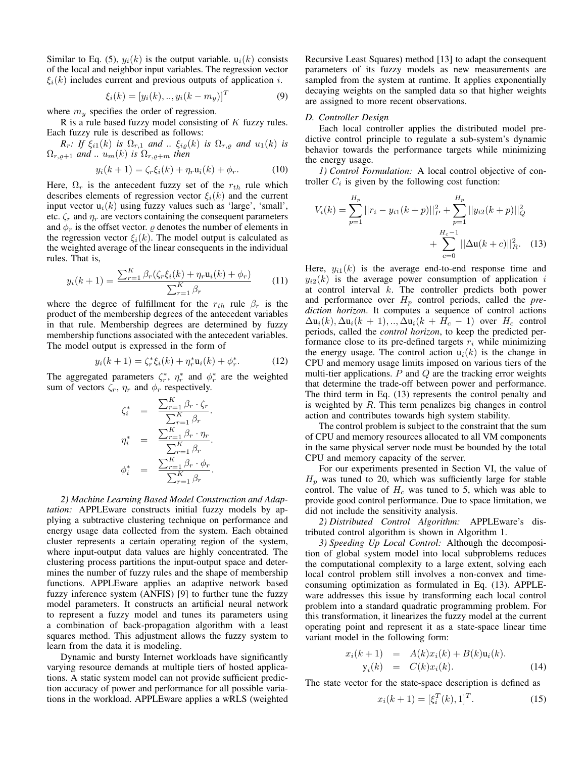Similar to Eq. (5),  $y_i(k)$  is the output variable.  $u_i(k)$  consists of the local and neighbor input variables. The regression vector  $\xi_i(k)$  includes current and previous outputs of application i.

$$
\xi_i(k) = [y_i(k),..,y_i(k-m_y)]^T
$$
\n(9)

where  $m<sub>y</sub>$  specifies the order of regression.

R is a rule based fuzzy model consisting of K fuzzy rules. Each fuzzy rule is described as follows:

 $R_r$ *:* If  $\xi_{i1}(k)$  *is*  $\Omega_{r,1}$  *and* ..  $\xi_{i\varrho}(k)$  *is*  $\Omega_{r,\varrho}$  *and*  $u_1(k)$  *is*  $\Omega_{r,\varrho+1}$  and ..  $u_m(k)$  is  $\Omega_{r,\varrho+m}$  then

$$
y_i(k+1) = \zeta_r \xi_i(k) + \eta_r \mathbf{u}_i(k) + \phi_r.
$$
 (10)

Here,  $\Omega_r$  is the antecedent fuzzy set of the  $r_{th}$  rule which describes elements of regression vector  $\xi_i(k)$  and the current input vector  $u_i(k)$  using fuzzy values such as 'large', 'small', etc.  $\zeta_r$  and  $\eta_r$  are vectors containing the consequent parameters and  $\phi_r$  is the offset vector.  $\rho$  denotes the number of elements in the regression vector  $\xi_i(k)$ . The model output is calculated as the weighted average of the linear consequents in the individual rules. That is,

$$
y_i(k+1) = \frac{\sum_{r=1}^{K} \beta_r(\zeta_r \xi_i(k) + \eta_r \mathbf{u}_i(k) + \phi_r)}{\sum_{r=1}^{K} \beta_r}
$$
(11)

where the degree of fulfillment for the  $r_{th}$  rule  $\beta_r$  is the product of the membership degrees of the antecedent variables in that rule. Membership degrees are determined by fuzzy membership functions associated with the antecedent variables. The model output is expressed in the form of

$$
y_i(k+1) = \zeta_r^* \xi_i(k) + \eta_r^* \mathbf{u}_i(k) + \phi_r^*.
$$
 (12)

The aggregated parameters  $\zeta_r^*$ ,  $\eta_r^*$  and  $\phi_r^*$  are the weighted sum of vectors  $\zeta_r$ ,  $\eta_r$  and  $\phi_r$  respectively.

$$
\zeta_i^* = \frac{\sum_{r=1}^K \beta_r \cdot \zeta_r}{\sum_{r=1}^K \beta_r}.
$$

$$
\eta_i^* = \frac{\sum_{r=1}^K \beta_r \cdot \eta_r}{\sum_{r=1}^K \beta_r}.
$$

$$
\phi_i^* = \frac{\sum_{r=1}^K \beta_r \cdot \phi_r}{\sum_{r=1}^K \beta_r}.
$$

*2) Machine Learning Based Model Construction and Adaptation:* APPLEware constructs initial fuzzy models by applying a subtractive clustering technique on performance and energy usage data collected from the system. Each obtained cluster represents a certain operating region of the system, where input-output data values are highly concentrated. The clustering process partitions the input-output space and determines the number of fuzzy rules and the shape of membership functions. APPLEware applies an adaptive network based fuzzy inference system (ANFIS) [9] to further tune the fuzzy model parameters. It constructs an artificial neural network to represent a fuzzy model and tunes its parameters using a combination of back-propagation algorithm with a least squares method. This adjustment allows the fuzzy system to learn from the data it is modeling.

Dynamic and bursty Internet workloads have significantly varying resource demands at multiple tiers of hosted applications. A static system model can not provide sufficient prediction accuracy of power and performance for all possible variations in the workload. APPLEware applies a wRLS (weighted Recursive Least Squares) method [13] to adapt the consequent parameters of its fuzzy models as new measurements are sampled from the system at runtime. It applies exponentially decaying weights on the sampled data so that higher weights are assigned to more recent observations.

#### *D. Controller Design*

Each local controller applies the distributed model predictive control principle to regulate a sub-system's dynamic behavior towards the performance targets while minimizing the energy usage.

*1) Control Formulation:* A local control objective of controller  $C_i$  is given by the following cost function:

$$
V_i(k) = \sum_{p=1}^{H_p} ||r_i - y_{i1}(k+p)||_P^2 + \sum_{p=1}^{H_p} ||y_{i2}(k+p)||_Q^2 + \sum_{c=0}^{H_c-1} ||\Delta u(k+c)||_R^2.
$$
 (13)

Here,  $y_{i1}(k)$  is the average end-to-end response time and  $y_{i2}(k)$  is the average power consumption of application i at control interval k. The controller predicts both power and performance over  $H_p$  control periods, called the *prediction horizon*. It computes a sequence of control actions  $\Delta u_i(k), \Delta u_i(k + 1), \ldots, \Delta u_i(k + H_c - 1)$  over  $H_c$  control periods, called the *control horizon*, to keep the predicted performance close to its pre-defined targets  $r_i$  while minimizing the energy usage. The control action  $u_i(k)$  is the change in CPU and memory usage limits imposed on various tiers of the multi-tier applications.  $P$  and  $Q$  are the tracking error weights that determine the trade-off between power and performance. The third term in Eq. (13) represents the control penalty and is weighted by  $R$ . This term penalizes big changes in control action and contributes towards high system stability.

The control problem is subject to the constraint that the sum of CPU and memory resources allocated to all VM components in the same physical server node must be bounded by the total CPU and memory capacity of the server.

For our experiments presented in Section VI, the value of  $H_p$  was tuned to 20, which was sufficiently large for stable control. The value of  $H_c$  was tuned to 5, which was able to provide good control performance. Due to space limitation, we did not include the sensitivity analysis.

*2) Distributed Control Algorithm:* APPLEware's distributed control algorithm is shown in Algorithm 1.

*3) Speeding Up Local Control:* Although the decomposition of global system model into local subproblems reduces the computational complexity to a large extent, solving each local control problem still involves a non-convex and timeconsuming optimization as formulated in Eq. (13). APPLEware addresses this issue by transforming each local control problem into a standard quadratic programming problem. For this transformation, it linearizes the fuzzy model at the current operating point and represent it as a state-space linear time variant model in the following form:

$$
x_i(k+1) = A(k)x_i(k) + B(k)u_i(k).
$$
  

$$
y_i(k) = C(k)x_i(k).
$$
 (14)

The state vector for the state-space description is defined as

$$
x_i(k+1) = [\xi_i^T(k), 1]^T.
$$
 (15)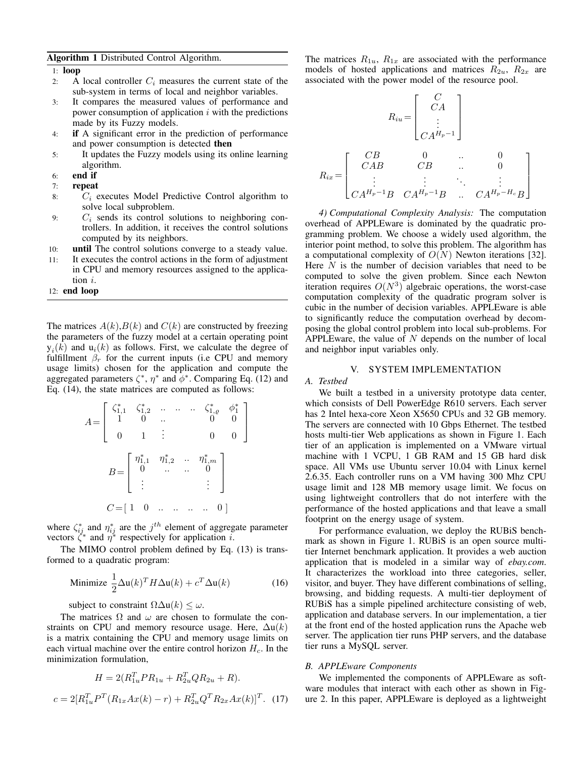### Algorithm 1 Distributed Control Algorithm.

## 1: loop

- 2: A local controller  $C_i$  measures the current state of the sub-system in terms of local and neighbor variables.
- 3: It compares the measured values of performance and power consumption of application  $i$  with the predictions made by its Fuzzy models.
- 4: if A significant error in the prediction of performance and power consumption is detected then
- 5: It updates the Fuzzy models using its online learning algorithm.
- 6: end if
- 7: repeat
- 8:  $C_i$  executes Model Predictive Control algorithm to solve local subproblem.
- 9:  $C_i$  sends its control solutions to neighboring controllers. In addition, it receives the control solutions computed by its neighbors.
- 10: until The control solutions converge to a steady value.
- 11: It executes the control actions in the form of adjustment in CPU and memory resources assigned to the application i.

12: end loop

The matrices  $A(k), B(k)$  and  $C(k)$  are constructed by freezing the parameters of the fuzzy model at a certain operating point  $y_i(k)$  and  $u_i(k)$  as follows. First, we calculate the degree of fulfillment  $\beta_r$  for the current inputs (i.e CPU and memory usage limits) chosen for the application and compute the aggregated parameters  $\zeta^*$ ,  $\eta^*$  and  $\phi^*$ . Comparing Eq. (12) and Eq. (14), the state matrices are computed as follows:

$$
A = \begin{bmatrix} \zeta_{1,1}^* & \zeta_{1,2}^* & \cdots & \cdots & \zeta_{1,\varrho}^* & \phi_1^* \\ 1 & 0 & \cdots & 0 & 0 \\ 0 & 1 & \vdots & 0 & 0 \end{bmatrix}
$$

$$
B = \begin{bmatrix} \eta_{1,1}^* & \eta_{1,2}^* & \cdots & \eta_{1,m}^* \\ 0 & \cdots & \cdots & 0 \\ \vdots & & & \vdots \end{bmatrix}
$$

$$
C = \begin{bmatrix} 1 & 0 & \cdots & \cdots & \cdots & 0 \end{bmatrix}
$$

where  $\zeta_{ij}^*$  and  $\eta_{ij}^*$  are the  $j^{th}$  element of aggregate parameter vectors  $\zeta^*$  and  $\eta^*$  respectively for application *i*.

The MIMO control problem defined by Eq. (13) is transformed to a quadratic program:

$$
\text{Minimize } \frac{1}{2} \Delta \mathbf{u}(k)^{T} H \Delta \mathbf{u}(k) + c^{T} \Delta \mathbf{u}(k) \tag{16}
$$

subject to constraint  $\Omega \Delta u(k) \leq \omega$ .

The matrices  $\Omega$  and  $\omega$  are chosen to formulate the constraints on CPU and memory resource usage. Here,  $\Delta u(k)$ is a matrix containing the CPU and memory usage limits on each virtual machine over the entire control horizon  $H_c$ . In the minimization formulation,

$$
H = 2(R_{1u}^T P R_{1u} + R_{2u}^T Q R_{2u} + R).
$$

$$
c = 2[R_{1u}^T P^T (R_{1x} A x(k) - r) + R_{2u}^T Q^T R_{2x} A x(k)]^T.
$$
 (17)

The matrices  $R_{1u}$ ,  $R_{1x}$  are associated with the performance models of hosted applications and matrices  $R_{2u}$ ,  $R_{2x}$  are associated with the power model of the resource pool.

$$
R_{iu} = \begin{bmatrix} C \\ CA \\ \vdots \\ CA^{H_p - 1} \end{bmatrix}
$$

$$
R_{ix} = \begin{bmatrix} CB & 0 & \cdots & 0 \\ CAB & CB & \cdots & 0 \\ \vdots & \vdots & \ddots & \vdots \\ CA^{H_p - 1}B & CA^{H_p - 1}B & \cdots & CA^{H_p - H_c}B \end{bmatrix}
$$

*4) Computational Complexity Analysis:* The computation overhead of APPLEware is dominated by the quadratic programming problem. We choose a widely used algorithm, the interior point method, to solve this problem. The algorithm has a computational complexity of  $O(N)$  Newton iterations [32]. Here  $N$  is the number of decision variables that need to be computed to solve the given problem. Since each Newton iteration requires  $O(N^3)$  algebraic operations, the worst-case computation complexity of the quadratic program solver is cubic in the number of decision variables. APPLEware is able to significantly reduce the computation overhead by decomposing the global control problem into local sub-problems. For APPLEware, the value of  $N$  depends on the number of local and neighbor input variables only.

# V. SYSTEM IMPLEMENTATION

#### *A. Testbed*

We built a testbed in a university prototype data center, which consists of Dell PowerEdge R610 servers. Each server has 2 Intel hexa-core Xeon X5650 CPUs and 32 GB memory. The servers are connected with 10 Gbps Ethernet. The testbed hosts multi-tier Web applications as shown in Figure 1. Each tier of an application is implemented on a VMware virtual machine with 1 VCPU, 1 GB RAM and 15 GB hard disk space. All VMs use Ubuntu server 10.04 with Linux kernel 2.6.35. Each controller runs on a VM having 300 Mhz CPU usage limit and 128 MB memory usage limit. We focus on using lightweight controllers that do not interfere with the performance of the hosted applications and that leave a small footprint on the energy usage of system.

For performance evaluation, we deploy the RUBiS benchmark as shown in Figure 1. RUBiS is an open source multitier Internet benchmark application. It provides a web auction application that is modeled in a similar way of *ebay.com*. It characterizes the workload into three categories, seller, visitor, and buyer. They have different combinations of selling, browsing, and bidding requests. A multi-tier deployment of RUBiS has a simple pipelined architecture consisting of web, application and database servers. In our implementation, a tier at the front end of the hosted application runs the Apache web server. The application tier runs PHP servers, and the database tier runs a MySQL server.

#### *B. APPLEware Components*

We implemented the components of APPLEware as software modules that interact with each other as shown in Figure 2. In this paper, APPLEware is deployed as a lightweight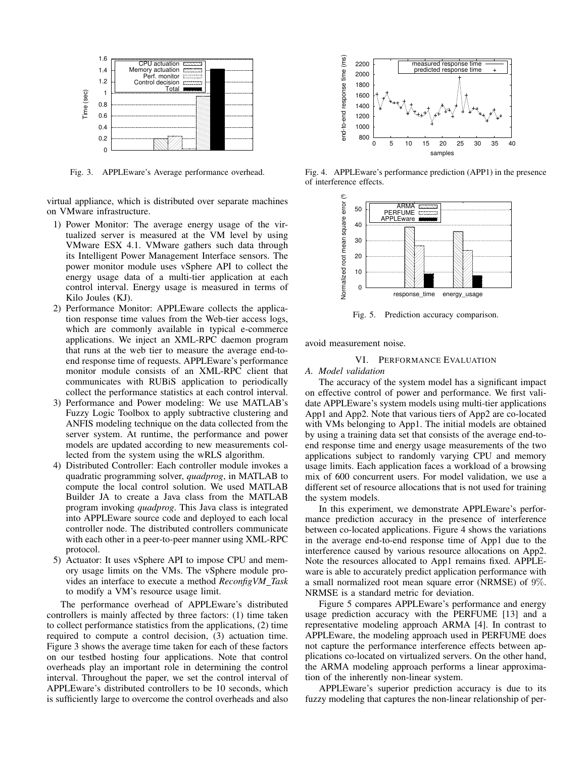

Fig. 3. APPLEware's Average performance overhead.

virtual appliance, which is distributed over separate machines on VMware infrastructure.

- 1) Power Monitor: The average energy usage of the virtualized server is measured at the VM level by using VMware ESX 4.1. VMware gathers such data through its Intelligent Power Management Interface sensors. The power monitor module uses vSphere API to collect the energy usage data of a multi-tier application at each control interval. Energy usage is measured in terms of Kilo Joules (KJ).
- 2) Performance Monitor: APPLEware collects the application response time values from the Web-tier access logs, which are commonly available in typical e-commerce applications. We inject an XML-RPC daemon program that runs at the web tier to measure the average end-toend response time of requests. APPLEware's performance monitor module consists of an XML-RPC client that communicates with RUBiS application to periodically collect the performance statistics at each control interval.
- 3) Performance and Power modeling: We use MATLAB's Fuzzy Logic Toolbox to apply subtractive clustering and ANFIS modeling technique on the data collected from the server system. At runtime, the performance and power models are updated according to new measurements collected from the system using the wRLS algorithm.
- 4) Distributed Controller: Each controller module invokes a quadratic programming solver, *quadprog*, in MATLAB to compute the local control solution. We used MATLAB Builder JA to create a Java class from the MATLAB program invoking *quadprog*. This Java class is integrated into APPLEware source code and deployed to each local controller node. The distributed controllers communicate with each other in a peer-to-peer manner using XML-RPC protocol.
- 5) Actuator: It uses vSphere API to impose CPU and memory usage limits on the VMs. The vSphere module provides an interface to execute a method *ReconfigVM Task* to modify a VM's resource usage limit.

The performance overhead of APPLEware's distributed controllers is mainly affected by three factors: (1) time taken to collect performance statistics from the applications, (2) time required to compute a control decision, (3) actuation time. Figure 3 shows the average time taken for each of these factors on our testbed hosting four applications. Note that control overheads play an important role in determining the control interval. Throughout the paper, we set the control interval of APPLEware's distributed controllers to be 10 seconds, which is sufficiently large to overcome the control overheads and also



Fig. 4. APPLEware's performance prediction (APP1) in the presence of interference effects.



Fig. 5. Prediction accuracy comparison.

avoid measurement noise.

#### VI. PERFORMANCE EVALUATION

#### *A. Model validation*

The accuracy of the system model has a significant impact on effective control of power and performance. We first validate APPLEware's system models using multi-tier applications App1 and App2. Note that various tiers of App2 are co-located with VMs belonging to App1. The initial models are obtained by using a training data set that consists of the average end-toend response time and energy usage measurements of the two applications subject to randomly varying CPU and memory usage limits. Each application faces a workload of a browsing mix of 600 concurrent users. For model validation, we use a different set of resource allocations that is not used for training the system models.

In this experiment, we demonstrate APPLEware's performance prediction accuracy in the presence of interference between co-located applications. Figure 4 shows the variations in the average end-to-end response time of App1 due to the interference caused by various resource allocations on App2. Note the resources allocated to App1 remains fixed. APPLEware is able to accurately predict application performance with a small normalized root mean square error (NRMSE) of 9%. NRMSE is a standard metric for deviation.

Figure 5 compares APPLEware's performance and energy usage prediction accuracy with the PERFUME [13] and a representative modeling approach ARMA [4]. In contrast to APPLEware, the modeling approach used in PERFUME does not capture the performance interference effects between applications co-located on virtualized servers. On the other hand, the ARMA modeling approach performs a linear approximation of the inherently non-linear system.

APPLEware's superior prediction accuracy is due to its fuzzy modeling that captures the non-linear relationship of per-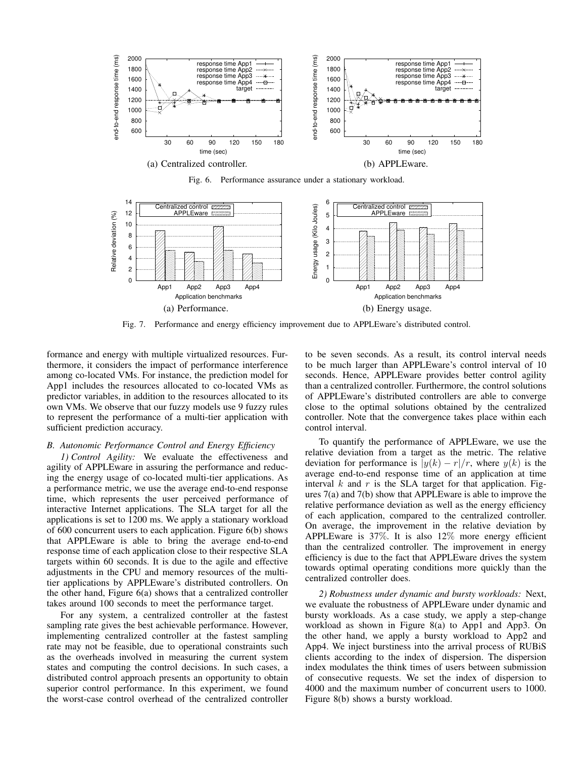

Fig. 6. Performance assurance under a stationary workload.



Fig. 7. Performance and energy efficiency improvement due to APPLEware's distributed control.

formance and energy with multiple virtualized resources. Furthermore, it considers the impact of performance interference among co-located VMs. For instance, the prediction model for App1 includes the resources allocated to co-located VMs as predictor variables, in addition to the resources allocated to its own VMs. We observe that our fuzzy models use 9 fuzzy rules to represent the performance of a multi-tier application with sufficient prediction accuracy.

### *B. Autonomic Performance Control and Energy Efficiency*

*1) Control Agility:* We evaluate the effectiveness and agility of APPLEware in assuring the performance and reducing the energy usage of co-located multi-tier applications. As a performance metric, we use the average end-to-end response time, which represents the user perceived performance of interactive Internet applications. The SLA target for all the applications is set to 1200 ms. We apply a stationary workload of 600 concurrent users to each application. Figure 6(b) shows that APPLEware is able to bring the average end-to-end response time of each application close to their respective SLA targets within 60 seconds. It is due to the agile and effective adjustments in the CPU and memory resources of the multitier applications by APPLEware's distributed controllers. On the other hand, Figure 6(a) shows that a centralized controller takes around 100 seconds to meet the performance target.

For any system, a centralized controller at the fastest sampling rate gives the best achievable performance. However, implementing centralized controller at the fastest sampling rate may not be feasible, due to operational constraints such as the overheads involved in measuring the current system states and computing the control decisions. In such cases, a distributed control approach presents an opportunity to obtain superior control performance. In this experiment, we found the worst-case control overhead of the centralized controller to be seven seconds. As a result, its control interval needs to be much larger than APPLEware's control interval of 10 seconds. Hence, APPLEware provides better control agility than a centralized controller. Furthermore, the control solutions of APPLEware's distributed controllers are able to converge close to the optimal solutions obtained by the centralized controller. Note that the convergence takes place within each control interval.

To quantify the performance of APPLEware, we use the relative deviation from a target as the metric. The relative deviation for performance is  $|y(k) - r|/r$ , where  $y(k)$  is the average end-to-end response time of an application at time interval  $k$  and  $r$  is the SLA target for that application. Figures 7(a) and 7(b) show that APPLEware is able to improve the relative performance deviation as well as the energy efficiency of each application, compared to the centralized controller. On average, the improvement in the relative deviation by APPLEware is 37%. It is also 12% more energy efficient than the centralized controller. The improvement in energy efficiency is due to the fact that APPLEware drives the system towards optimal operating conditions more quickly than the centralized controller does.

*2) Robustness under dynamic and bursty workloads:* Next, we evaluate the robustness of APPLEware under dynamic and bursty workloads. As a case study, we apply a step-change workload as shown in Figure 8(a) to App1 and App3. On the other hand, we apply a bursty workload to App2 and App4. We inject burstiness into the arrival process of RUBiS clients according to the index of dispersion. The dispersion index modulates the think times of users between submission of consecutive requests. We set the index of dispersion to 4000 and the maximum number of concurrent users to 1000. Figure 8(b) shows a bursty workload.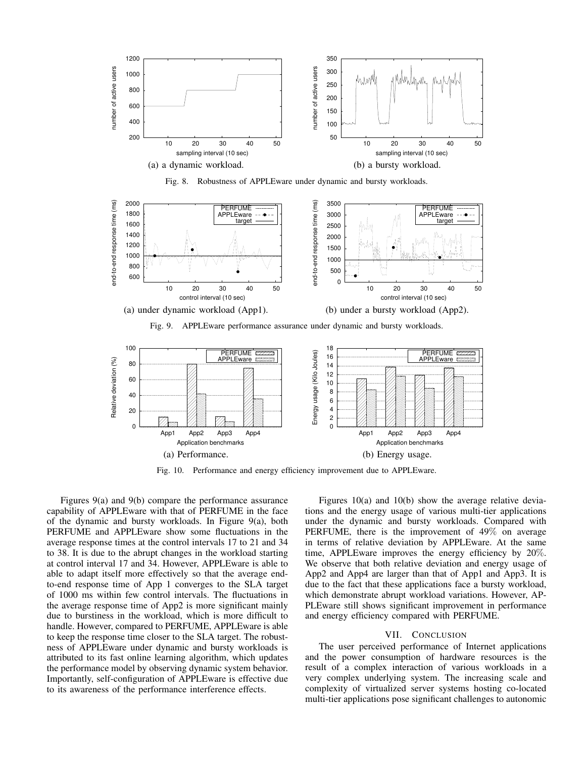

Fig. 8. Robustness of APPLEware under dynamic and bursty workloads.



Fig. 9. APPLEware performance assurance under dynamic and bursty workloads.



Fig. 10. Performance and energy efficiency improvement due to APPLEware.

Figures 9(a) and 9(b) compare the performance assurance capability of APPLEware with that of PERFUME in the face of the dynamic and bursty workloads. In Figure 9(a), both PERFUME and APPLEware show some fluctuations in the average response times at the control intervals 17 to 21 and 34 to 38. It is due to the abrupt changes in the workload starting at control interval 17 and 34. However, APPLEware is able to able to adapt itself more effectively so that the average endto-end response time of App 1 converges to the SLA target of 1000 ms within few control intervals. The fluctuations in the average response time of App2 is more significant mainly due to burstiness in the workload, which is more difficult to handle. However, compared to PERFUME, APPLEware is able to keep the response time closer to the SLA target. The robustness of APPLEware under dynamic and bursty workloads is attributed to its fast online learning algorithm, which updates the performance model by observing dynamic system behavior. Importantly, self-configuration of APPLEware is effective due to its awareness of the performance interference effects.

Figures 10(a) and 10(b) show the average relative deviations and the energy usage of various multi-tier applications under the dynamic and bursty workloads. Compared with PERFUME, there is the improvement of 49% on average in terms of relative deviation by APPLEware. At the same time, APPLEware improves the energy efficiency by 20%. We observe that both relative deviation and energy usage of App2 and App4 are larger than that of App1 and App3. It is due to the fact that these applications face a bursty workload, which demonstrate abrupt workload variations. However, AP-PLEware still shows significant improvement in performance and energy efficiency compared with PERFUME.

#### VII. CONCLUSION

The user perceived performance of Internet applications and the power consumption of hardware resources is the result of a complex interaction of various workloads in a very complex underlying system. The increasing scale and complexity of virtualized server systems hosting co-located multi-tier applications pose significant challenges to autonomic